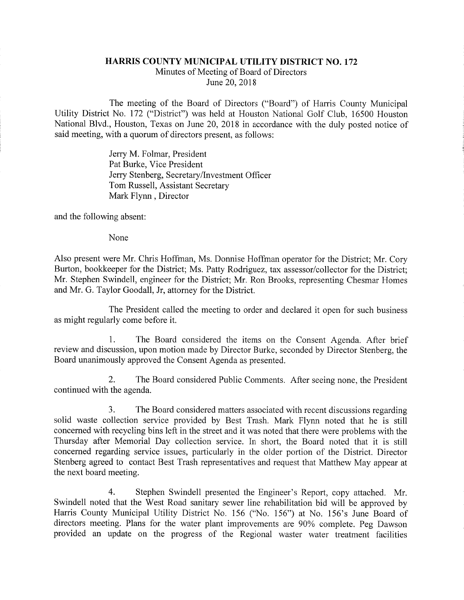## HARMS COUNTY MUNICIPAL UTILITY DISTRICT NO. 172

Minutes of Meeting of Board of Directors June 20, 2018

The meeting of the Board of Directors ("Board") of Harris County Municipal Utility District No. 172 ("District") was held at Houston National Golf Club, 16500 Houston National Blvd., Houston, Texas on June 20, 2018 in accordance with the duly posted notice of said meeting, with a quorum of directors present, as follows:

> Jerry M. Folmar, President Pat Burke, Vice President Jerry Stenberg, Secretary/Investment Officer Tom Russell, Assistant Secretary Mark Flynn, Director

and the following absent:

None

Also present were Mr. Chris Hoffman, Ms. Donnise Hoffman operator for the District; Mr. Cory Burton, bookkeeper for the District; Ms. Patty Rodriguez, tax assessor/collector for the District; Mr. Stephen Swindell, engineer for the District; Mr. Ron Brooks, representing Chesmar Homes and Mr. G. Taylor Goodall, Jr, attorney for the District.

The President called the meeting to order and declared it open for such business as might regularly come before it.

1. The Board considered the items on the Consent Agenda. After brief review and discussion, upon motion made by Director Burke, seconded by Director Stenberg, the Board unanimously approved the Consent Agenda as presented.

2. The Board considered Public Comments. After seeing none, the President continued with the agenda.

3. The Board considered matters associated with recent discussions regarding solid waste collection service provided by Best Trash. Mark Flynn noted that he is still concerned with recycling bins left in the street and it was noted that there were problems with the Thursday after Memorial Day collection service. In short, the Board noted that it is still concerned regarding service issues, particularly in the older portion of the District. Director Stenberg agreed to contact Best Trash representatives and request that Matthew May appear at the next board meeting.

4. Stephen Swindell presented the Engineer's Report, copy attached. Mr. Swindell noted that the West Road sanitary sewer line rehabilitation bid will be approved by Harris County Municipal Utility District No. 156 ("No. 156") at No. 156's June Board of directors meeting. Plans for the water plant improvements are 90% complete. Peg Dawson provided an update on the progress of the Regional waster water treatment facilities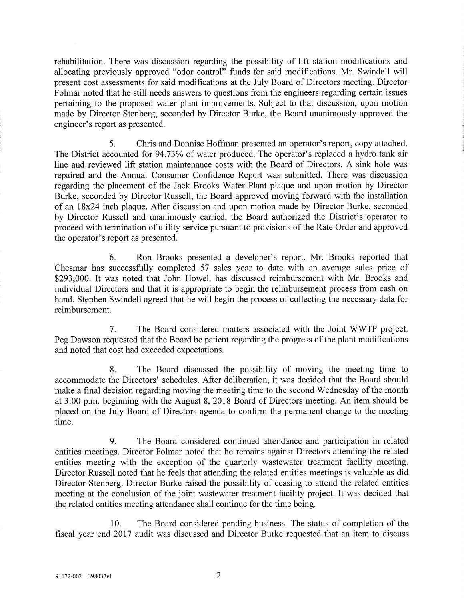rehabilitation. There was discussion regarding the possibility of lift station modifications and allocating previously approved "odor control" funds for said modifications. Mr. Swindell will present cost assessments for said modifications at the July Board of Directors meeting. Director Folmar noted that he still needs answers to questions from the engineers regarding certain issues pertaining to the proposed water plant improvements. Subject to that discussion, upon motion made by Director Stenberg, seconded by Director Burke, the Board unanimously approved the engineer's report as presented.

5. Chris and Donnise Hoffman presented an operator's report, copy attached. The District accounted for 94.73% of water produced. The operator's replaced a hydro tank air line and reviewed lift station maintenance costs with the Board of Directors. A sink hole was repaired and the Annual Consumer Confidence Report was submitted. There was discussion regarding the placement of the Jack Brooks Water Plant plaque and upon motion by Director Burke, seconded by Director Russell, the Board approved moving forward with the installation of an 18x24 inch plaque. After discussion and upon motion made by Director Burke, seconded by Director Russell and unanimously carried, the Board authorized the District's operator to proceed with termination of utility service pursuant to provisions of the Rate Order and approved the operator's report as presented.

6. Ron Brooks presented a developer's report. Mr. Brooks reported that Chesmar has successfully completed 57 sales year to date with an average sales price of \$293,000. It was noted that John Howell has discussed reimbursement with Mr. Brooks and individual Directors and that it is appropriate to begin the reimbursement process from cash on hand. Stephen Swindell agreed that he will begin the process of collecting the necessary data for reimbursement.

7. The Board considered matters associated with the Joint WWTP project. Peg Dawson requested that the Board be patient regarding the progress of the plant modifications and noted that cost had exceeded expectations.

8. The Board discussed the possibility of moving the meeting time to accommodate the Directors' schedules. After deliberation, it was decided that the Board should make a final decision regarding moving the meeting time to the second Wednesday of the month at 3:00 p.m. beginning with the August 8, 2018 Board of Directors meeting. An item should be placed on the July Board of Directors agenda to confirm the permanent change to the meeting time.

9. The Board considered continued attendance and participation in related entities meetings. Director Folmar noted that he remains against Directors attending the related entities meeting with the exception of the quarterly wastewater treatment facility meeting. Director Russell noted that he feels that attending the related entities meetings is valuable as did Director Stenberg. Director Burke raised the possibility of ceasing to attend the related entities meeting at the conclusion of the joint wastewater treatment facility project. It was decided that the related entities meeting attendance shall continue for the time being.

10. The Board considered pending business. The status of completion of the fiscal year end 2017 audit was discussed and Director Burke requested that an item to discuss

 $\overline{2}$